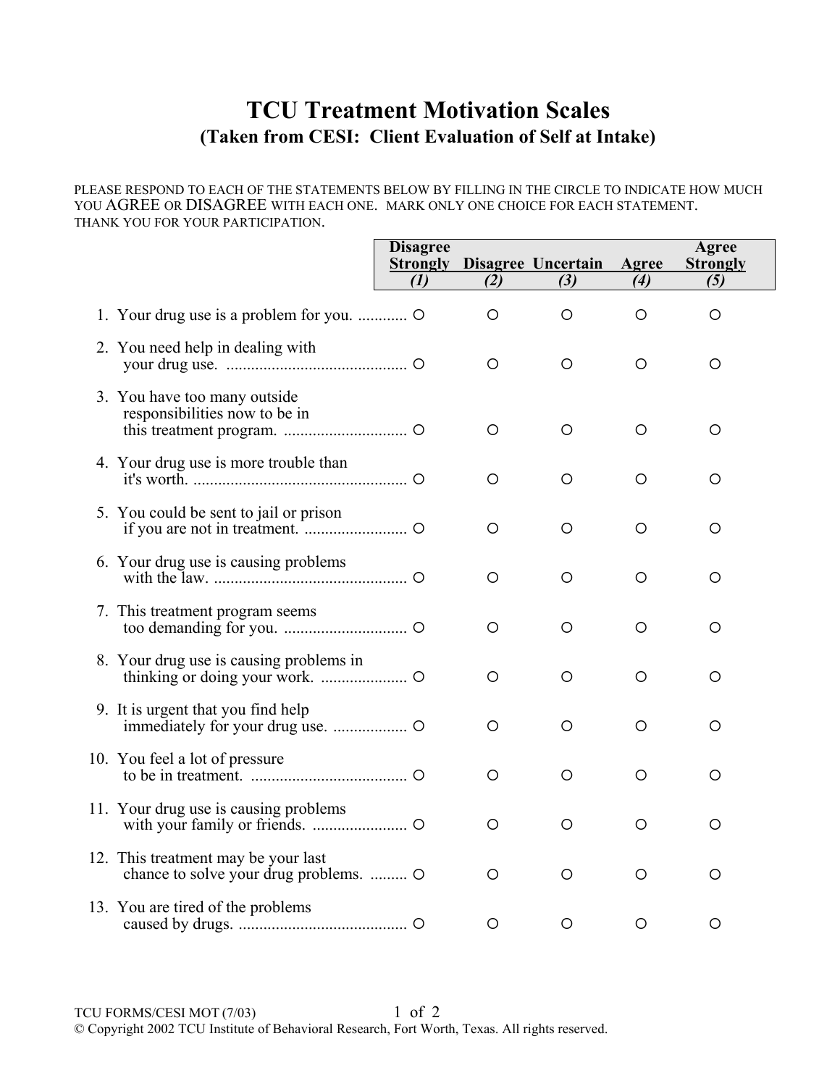## **TCU Treatment Motivation Scales (Taken from CESI: Client Evaluation of Self at Intake)**

## PLEASE RESPOND TO EACH OF THE STATEMENTS BELOW BY FILLING IN THE CIRCLE TO INDICATE HOW MUCH YOU AGREE OR DISAGREE WITH EACH ONE. MARK ONLY ONE CHOICE FOR EACH STATEMENT. THANK YOU FOR YOUR PARTICIPATION.

|                                                                            | <b>Disagree</b><br><b>Strongly</b><br>(1) | (2)     | <b>Disagree Uncertain</b><br>(3) | Agree<br>(4) | Agree<br><b>Strongly</b><br>(5) |
|----------------------------------------------------------------------------|-------------------------------------------|---------|----------------------------------|--------------|---------------------------------|
|                                                                            |                                           | O       | O                                | O            | O                               |
| 2. You need help in dealing with                                           |                                           | O       | O                                | Ο            | $\circ$                         |
| 3. You have too many outside<br>responsibilities now to be in              |                                           | $\circ$ | O                                | O            | $\circ$                         |
| 4. Your drug use is more trouble than                                      |                                           | O       | O                                | O            | O                               |
| 5. You could be sent to jail or prison                                     |                                           | О       | O                                | O            | O                               |
| 6. Your drug use is causing problems                                       |                                           | O       | O                                | O            | O                               |
| 7. This treatment program seems                                            |                                           | О       | O                                | O            | O                               |
| 8. Your drug use is causing problems in                                    |                                           | O       | O                                | О            | О                               |
| 9. It is urgent that you find help                                         |                                           | O       | O                                | O            | O                               |
| 10. You feel a lot of pressure                                             |                                           | О       | O                                | O            | O                               |
| 11. Your drug use is causing problems                                      |                                           | O       | О                                | О            | О                               |
| 12. This treatment may be your last<br>chance to solve your drug problems. |                                           | O       | O                                | O            | O                               |
| 13. You are tired of the problems                                          |                                           | O       | О                                | О            | О                               |